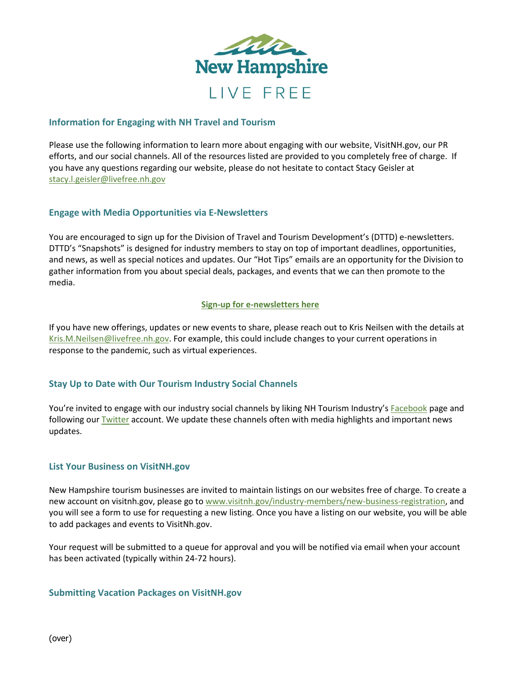

## **Information for Engaging with NH Travel and Tourism**

Please use the following information to learn more about engaging with our website, VisitNH.gov, our PR efforts, and our social channels. All of the resources listed are provided to you completely free of charge. If you have any questions regarding our website, please do not hesitate to contact Stacy Geisler at [stacy.l.geisler@livefree.nh.gov](mailto:stacy.l.geisler@livefree.nh.gov)

## **Engage with Media Opportunities via E-Newsletters**

You are encouraged to sign up for the Division of Travel and Tourism Development's (DTTD) e-newsletters. DTTD's "Snapshots" is designed for industry members to stay on top of important deadlines, opportunities, and news, as well as special notices and updates. Our "Hot Tips" emails are an opportunity for the Division to gather information from you about special deals, packages, and events that we can then promote to the media.

### **[Sign-up for e-newsletters here](https://www.visitnh.gov/industry-members/industry-resources/subscribe-to-enewsletter)**

If you have new offerings, updates or new events to share, please reach out to Kris Neilsen with the details at [Kris.M.Neilsen@livefree.nh.gov.](mailto:Kris.M.Neilsen@livefree.nh.gov) For example, this could include changes to your current operations in response to the pandemic, such as virtual experiences.

# **Stay Up to Date with Our Tourism Industry Social Channels**

You're invited to engage with our industry social channels by liking NH Tourism Industry's [Facebook](https://www.facebook.com/nhtourismindustry?modal=suggested_action¬if_id=1596453480416819¬if_t=page_user_activity&ref=notif) page and following our [Twitter](https://twitter.com/NH_Tourism) account. We update these channels often with media highlights and important news updates.

## **List Your Business on VisitNH.gov**

New Hampshire tourism businesses are invited to maintain listings on our websites free of charge. To create a new account on visitnh.gov, please go t[o www.visitnh.gov/industry-members/new-business-registration,](https://www.visitnh.gov/industry-members/new-business-registration) and you will see a form to use for requesting a new listing. Once you have a listing on our website, you will be able to add packages and events to VisitNh.gov.

Your request will be submitted to a queue for approval and you will be notified via email when your account has been activated (typically within 24-72 hours).

#### **Submitting Vacation Packages on VisitNH.gov**